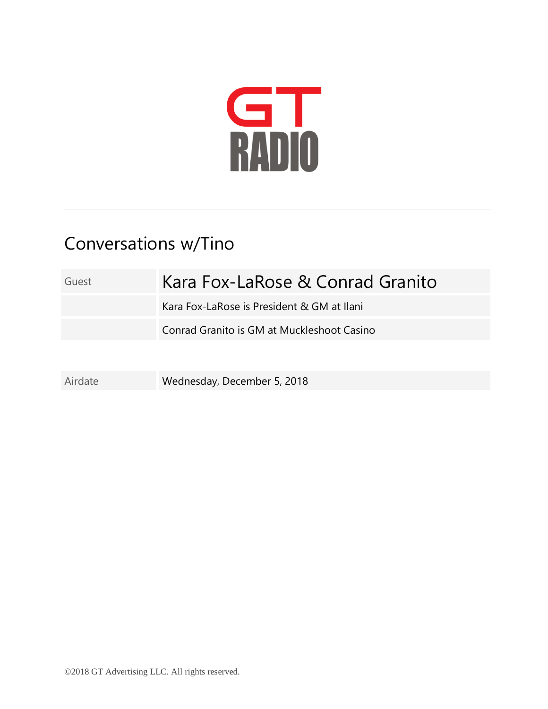

## Conversations w/Tino

Guest Kara Fox-LaRose & Conrad Granito Kara Fox-LaRose is President & GM at Ilani Conrad Granito is GM at Muckleshoot Casino

Airdate Wednesday, December 5, 2018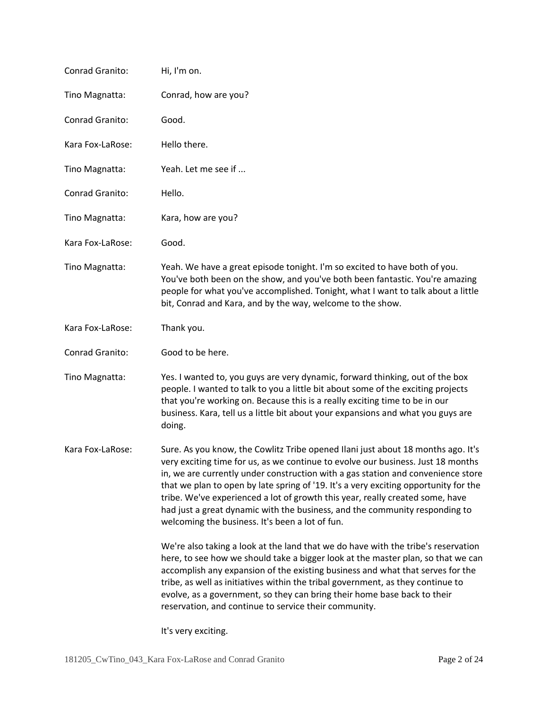| Conrad Granito:  | Hi, I'm on.                                                                                                                                                                                                                                                                                                                                                                                                                                                                                                                                                         |
|------------------|---------------------------------------------------------------------------------------------------------------------------------------------------------------------------------------------------------------------------------------------------------------------------------------------------------------------------------------------------------------------------------------------------------------------------------------------------------------------------------------------------------------------------------------------------------------------|
| Tino Magnatta:   | Conrad, how are you?                                                                                                                                                                                                                                                                                                                                                                                                                                                                                                                                                |
| Conrad Granito:  | Good.                                                                                                                                                                                                                                                                                                                                                                                                                                                                                                                                                               |
| Kara Fox-LaRose: | Hello there.                                                                                                                                                                                                                                                                                                                                                                                                                                                                                                                                                        |
| Tino Magnatta:   | Yeah. Let me see if                                                                                                                                                                                                                                                                                                                                                                                                                                                                                                                                                 |
| Conrad Granito:  | Hello.                                                                                                                                                                                                                                                                                                                                                                                                                                                                                                                                                              |
| Tino Magnatta:   | Kara, how are you?                                                                                                                                                                                                                                                                                                                                                                                                                                                                                                                                                  |
| Kara Fox-LaRose: | Good.                                                                                                                                                                                                                                                                                                                                                                                                                                                                                                                                                               |
| Tino Magnatta:   | Yeah. We have a great episode tonight. I'm so excited to have both of you.<br>You've both been on the show, and you've both been fantastic. You're amazing<br>people for what you've accomplished. Tonight, what I want to talk about a little<br>bit, Conrad and Kara, and by the way, welcome to the show.                                                                                                                                                                                                                                                        |
| Kara Fox-LaRose: | Thank you.                                                                                                                                                                                                                                                                                                                                                                                                                                                                                                                                                          |
| Conrad Granito:  | Good to be here.                                                                                                                                                                                                                                                                                                                                                                                                                                                                                                                                                    |
| Tino Magnatta:   | Yes. I wanted to, you guys are very dynamic, forward thinking, out of the box<br>people. I wanted to talk to you a little bit about some of the exciting projects<br>that you're working on. Because this is a really exciting time to be in our<br>business. Kara, tell us a little bit about your expansions and what you guys are<br>doing.                                                                                                                                                                                                                      |
| Kara Fox-LaRose: | Sure. As you know, the Cowlitz Tribe opened Ilani just about 18 months ago. It's<br>very exciting time for us, as we continue to evolve our business. Just 18 months<br>in, we are currently under construction with a gas station and convenience store<br>that we plan to open by late spring of '19. It's a very exciting opportunity for the<br>tribe. We've experienced a lot of growth this year, really created some, have<br>had just a great dynamic with the business, and the community responding to<br>welcoming the business. It's been a lot of fun. |
|                  | We're also taking a look at the land that we do have with the tribe's reservation<br>here, to see how we should take a bigger look at the master plan, so that we can<br>accomplish any expansion of the existing business and what that serves for the<br>tribe, as well as initiatives within the tribal government, as they continue to<br>evolve, as a government, so they can bring their home base back to their<br>reservation, and continue to service their community.                                                                                     |

It's very exciting.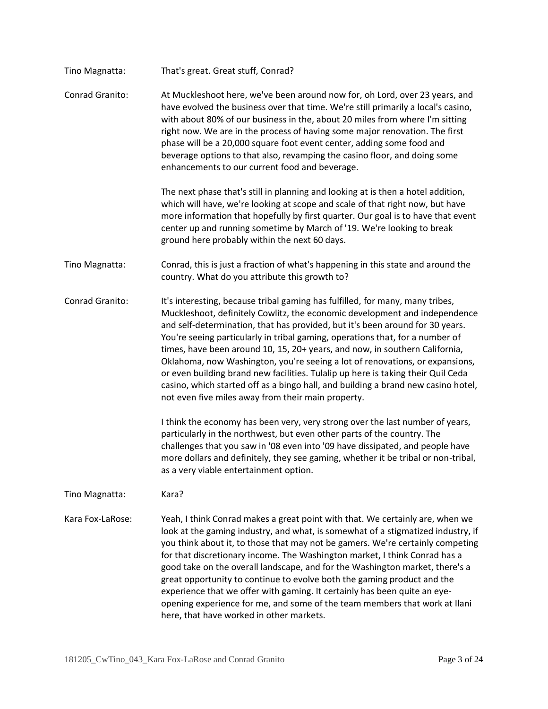| Tino Magnatta:   | That's great. Great stuff, Conrad?                                                                                                                                                                                                                                                                                                                                                                                                                                                                                                                                                                                                                                                                                          |
|------------------|-----------------------------------------------------------------------------------------------------------------------------------------------------------------------------------------------------------------------------------------------------------------------------------------------------------------------------------------------------------------------------------------------------------------------------------------------------------------------------------------------------------------------------------------------------------------------------------------------------------------------------------------------------------------------------------------------------------------------------|
| Conrad Granito:  | At Muckleshoot here, we've been around now for, oh Lord, over 23 years, and<br>have evolved the business over that time. We're still primarily a local's casino,<br>with about 80% of our business in the, about 20 miles from where I'm sitting<br>right now. We are in the process of having some major renovation. The first<br>phase will be a 20,000 square foot event center, adding some food and<br>beverage options to that also, revamping the casino floor, and doing some<br>enhancements to our current food and beverage.                                                                                                                                                                                     |
|                  | The next phase that's still in planning and looking at is then a hotel addition,<br>which will have, we're looking at scope and scale of that right now, but have<br>more information that hopefully by first quarter. Our goal is to have that event<br>center up and running sometime by March of '19. We're looking to break<br>ground here probably within the next 60 days.                                                                                                                                                                                                                                                                                                                                            |
| Tino Magnatta:   | Conrad, this is just a fraction of what's happening in this state and around the<br>country. What do you attribute this growth to?                                                                                                                                                                                                                                                                                                                                                                                                                                                                                                                                                                                          |
| Conrad Granito:  | It's interesting, because tribal gaming has fulfilled, for many, many tribes,<br>Muckleshoot, definitely Cowlitz, the economic development and independence<br>and self-determination, that has provided, but it's been around for 30 years.<br>You're seeing particularly in tribal gaming, operations that, for a number of<br>times, have been around 10, 15, 20+ years, and now, in southern California,<br>Oklahoma, now Washington, you're seeing a lot of renovations, or expansions,<br>or even building brand new facilities. Tulalip up here is taking their Quil Ceda<br>casino, which started off as a bingo hall, and building a brand new casino hotel,<br>not even five miles away from their main property. |
|                  | I think the economy has been very, very strong over the last number of years,<br>particularly in the northwest, but even other parts of the country. The<br>challenges that you saw in '08 even into '09 have dissipated, and people have<br>more dollars and definitely, they see gaming, whether it be tribal or non-tribal,<br>as a very viable entertainment option.                                                                                                                                                                                                                                                                                                                                                    |
| Tino Magnatta:   | Kara?                                                                                                                                                                                                                                                                                                                                                                                                                                                                                                                                                                                                                                                                                                                       |
| Kara Fox-LaRose: | Yeah, I think Conrad makes a great point with that. We certainly are, when we<br>look at the gaming industry, and what, is somewhat of a stigmatized industry, if<br>you think about it, to those that may not be gamers. We're certainly competing<br>for that discretionary income. The Washington market, I think Conrad has a<br>good take on the overall landscape, and for the Washington market, there's a<br>great opportunity to continue to evolve both the gaming product and the<br>experience that we offer with gaming. It certainly has been quite an eye-<br>opening experience for me, and some of the team members that work at Ilani<br>here, that have worked in other markets.                         |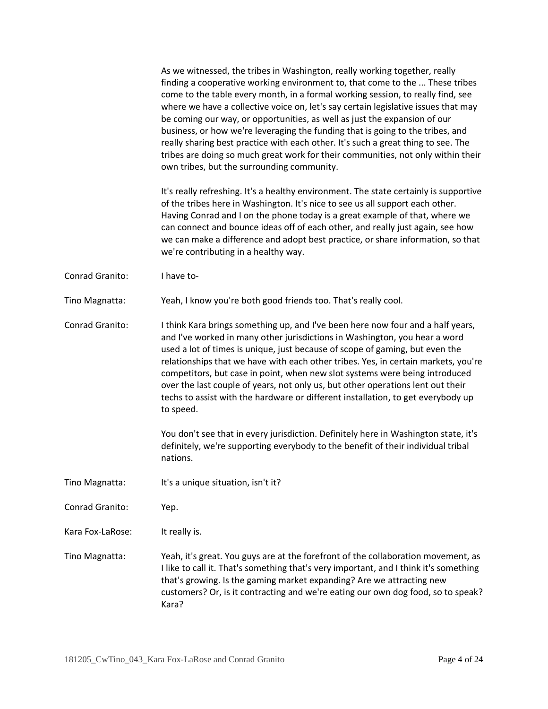As we witnessed, the tribes in Washington, really working together, really finding a cooperative working environment to, that come to the ... These tribes come to the table every month, in a formal working session, to really find, see where we have a collective voice on, let's say certain legislative issues that may be coming our way, or opportunities, as well as just the expansion of our business, or how we're leveraging the funding that is going to the tribes, and really sharing best practice with each other. It's such a great thing to see. The tribes are doing so much great work for their communities, not only within their own tribes, but the surrounding community.

It's really refreshing. It's a healthy environment. The state certainly is supportive of the tribes here in Washington. It's nice to see us all support each other. Having Conrad and I on the phone today is a great example of that, where we can connect and bounce ideas off of each other, and really just again, see how we can make a difference and adopt best practice, or share information, so that we're contributing in a healthy way.

Conrad Granito: I have to-

Tino Magnatta: Yeah, I know you're both good friends too. That's really cool.

Conrad Granito: I think Kara brings something up, and I've been here now four and a half years, and I've worked in many other jurisdictions in Washington, you hear a word used a lot of times is unique, just because of scope of gaming, but even the relationships that we have with each other tribes. Yes, in certain markets, you're competitors, but case in point, when new slot systems were being introduced over the last couple of years, not only us, but other operations lent out their techs to assist with the hardware or different installation, to get everybody up to speed.

> You don't see that in every jurisdiction. Definitely here in Washington state, it's definitely, we're supporting everybody to the benefit of their individual tribal nations.

Tino Magnatta: It's a unique situation, isn't it?

Conrad Granito: Yep.

Kara Fox-LaRose: It really is.

Tino Magnatta: Yeah, it's great. You guys are at the forefront of the collaboration movement, as I like to call it. That's something that's very important, and I think it's something that's growing. Is the gaming market expanding? Are we attracting new customers? Or, is it contracting and we're eating our own dog food, so to speak? Kara?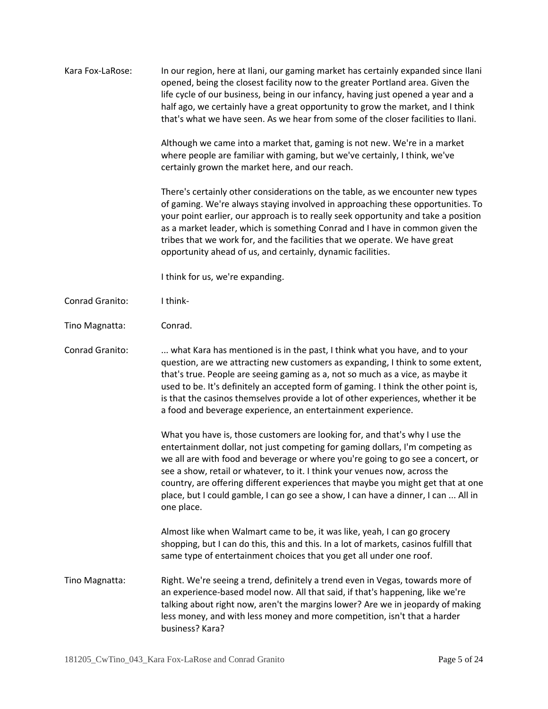| Kara Fox-LaRose: | In our region, here at Ilani, our gaming market has certainly expanded since Ilani<br>opened, being the closest facility now to the greater Portland area. Given the<br>life cycle of our business, being in our infancy, having just opened a year and a<br>half ago, we certainly have a great opportunity to grow the market, and I think<br>that's what we have seen. As we hear from some of the closer facilities to Ilani.                                                                                     |
|------------------|-----------------------------------------------------------------------------------------------------------------------------------------------------------------------------------------------------------------------------------------------------------------------------------------------------------------------------------------------------------------------------------------------------------------------------------------------------------------------------------------------------------------------|
|                  | Although we came into a market that, gaming is not new. We're in a market<br>where people are familiar with gaming, but we've certainly, I think, we've<br>certainly grown the market here, and our reach.                                                                                                                                                                                                                                                                                                            |
|                  | There's certainly other considerations on the table, as we encounter new types<br>of gaming. We're always staying involved in approaching these opportunities. To<br>your point earlier, our approach is to really seek opportunity and take a position<br>as a market leader, which is something Conrad and I have in common given the<br>tribes that we work for, and the facilities that we operate. We have great<br>opportunity ahead of us, and certainly, dynamic facilities.                                  |
|                  | I think for us, we're expanding.                                                                                                                                                                                                                                                                                                                                                                                                                                                                                      |
| Conrad Granito:  | I think-                                                                                                                                                                                                                                                                                                                                                                                                                                                                                                              |
| Tino Magnatta:   | Conrad.                                                                                                                                                                                                                                                                                                                                                                                                                                                                                                               |
| Conrad Granito:  | what Kara has mentioned is in the past, I think what you have, and to your<br>question, are we attracting new customers as expanding, I think to some extent,<br>that's true. People are seeing gaming as a, not so much as a vice, as maybe it<br>used to be. It's definitely an accepted form of gaming. I think the other point is,<br>is that the casinos themselves provide a lot of other experiences, whether it be<br>a food and beverage experience, an entertainment experience.                            |
|                  | What you have is, those customers are looking for, and that's why I use the<br>entertainment dollar, not just competing for gaming dollars, I'm competing as<br>we all are with food and beverage or where you're going to go see a concert, or<br>see a show, retail or whatever, to it. I think your venues now, across the<br>country, are offering different experiences that maybe you might get that at one<br>place, but I could gamble, I can go see a show, I can have a dinner, I can  All in<br>one place. |
|                  | Almost like when Walmart came to be, it was like, yeah, I can go grocery<br>shopping, but I can do this, this and this. In a lot of markets, casinos fulfill that<br>same type of entertainment choices that you get all under one roof.                                                                                                                                                                                                                                                                              |
| Tino Magnatta:   | Right. We're seeing a trend, definitely a trend even in Vegas, towards more of<br>an experience-based model now. All that said, if that's happening, like we're<br>talking about right now, aren't the margins lower? Are we in jeopardy of making<br>less money, and with less money and more competition, isn't that a harder<br>business? Kara?                                                                                                                                                                    |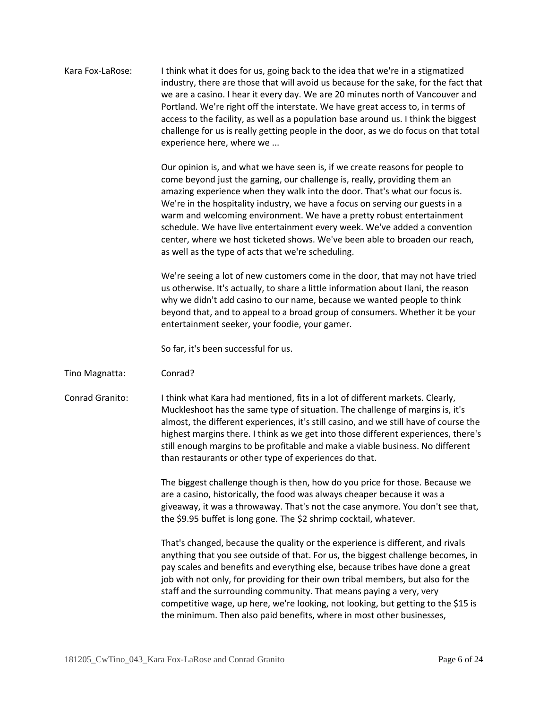Kara Fox-LaRose: I think what it does for us, going back to the idea that we're in a stigmatized industry, there are those that will avoid us because for the sake, for the fact that we are a casino. I hear it every day. We are 20 minutes north of Vancouver and Portland. We're right off the interstate. We have great access to, in terms of access to the facility, as well as a population base around us. I think the biggest challenge for us is really getting people in the door, as we do focus on that total experience here, where we ...

> Our opinion is, and what we have seen is, if we create reasons for people to come beyond just the gaming, our challenge is, really, providing them an amazing experience when they walk into the door. That's what our focus is. We're in the hospitality industry, we have a focus on serving our guests in a warm and welcoming environment. We have a pretty robust entertainment schedule. We have live entertainment every week. We've added a convention center, where we host ticketed shows. We've been able to broaden our reach, as well as the type of acts that we're scheduling.

We're seeing a lot of new customers come in the door, that may not have tried us otherwise. It's actually, to share a little information about Ilani, the reason why we didn't add casino to our name, because we wanted people to think beyond that, and to appeal to a broad group of consumers. Whether it be your entertainment seeker, your foodie, your gamer.

So far, it's been successful for us.

- Tino Magnatta: Conrad?
- Conrad Granito: I think what Kara had mentioned, fits in a lot of different markets. Clearly, Muckleshoot has the same type of situation. The challenge of margins is, it's almost, the different experiences, it's still casino, and we still have of course the highest margins there. I think as we get into those different experiences, there's still enough margins to be profitable and make a viable business. No different than restaurants or other type of experiences do that.

The biggest challenge though is then, how do you price for those. Because we are a casino, historically, the food was always cheaper because it was a giveaway, it was a throwaway. That's not the case anymore. You don't see that, the \$9.95 buffet is long gone. The \$2 shrimp cocktail, whatever.

That's changed, because the quality or the experience is different, and rivals anything that you see outside of that. For us, the biggest challenge becomes, in pay scales and benefits and everything else, because tribes have done a great job with not only, for providing for their own tribal members, but also for the staff and the surrounding community. That means paying a very, very competitive wage, up here, we're looking, not looking, but getting to the \$15 is the minimum. Then also paid benefits, where in most other businesses,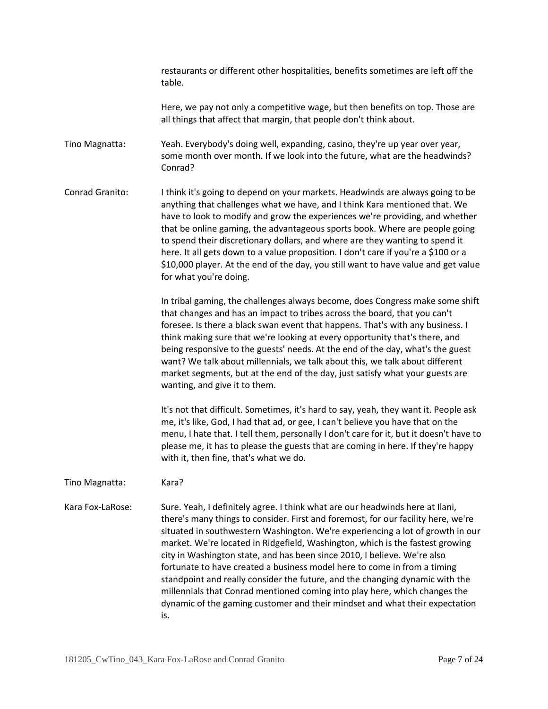restaurants or different other hospitalities, benefits sometimes are left off the table.

Here, we pay not only a competitive wage, but then benefits on top. Those are all things that affect that margin, that people don't think about.

Tino Magnatta: Yeah. Everybody's doing well, expanding, casino, they're up year over year, some month over month. If we look into the future, what are the headwinds? Conrad?

Conrad Granito: I think it's going to depend on your markets. Headwinds are always going to be anything that challenges what we have, and I think Kara mentioned that. We have to look to modify and grow the experiences we're providing, and whether that be online gaming, the advantageous sports book. Where are people going to spend their discretionary dollars, and where are they wanting to spend it here. It all gets down to a value proposition. I don't care if you're a \$100 or a \$10,000 player. At the end of the day, you still want to have value and get value for what you're doing.

> In tribal gaming, the challenges always become, does Congress make some shift that changes and has an impact to tribes across the board, that you can't foresee. Is there a black swan event that happens. That's with any business. I think making sure that we're looking at every opportunity that's there, and being responsive to the guests' needs. At the end of the day, what's the guest want? We talk about millennials, we talk about this, we talk about different market segments, but at the end of the day, just satisfy what your guests are wanting, and give it to them.

> It's not that difficult. Sometimes, it's hard to say, yeah, they want it. People ask me, it's like, God, I had that ad, or gee, I can't believe you have that on the menu, I hate that. I tell them, personally I don't care for it, but it doesn't have to please me, it has to please the guests that are coming in here. If they're happy with it, then fine, that's what we do.

## Tino Magnatta: Kara?

Kara Fox-LaRose: Sure. Yeah, I definitely agree. I think what are our headwinds here at Ilani, there's many things to consider. First and foremost, for our facility here, we're situated in southwestern Washington. We're experiencing a lot of growth in our market. We're located in Ridgefield, Washington, which is the fastest growing city in Washington state, and has been since 2010, I believe. We're also fortunate to have created a business model here to come in from a timing standpoint and really consider the future, and the changing dynamic with the millennials that Conrad mentioned coming into play here, which changes the dynamic of the gaming customer and their mindset and what their expectation is.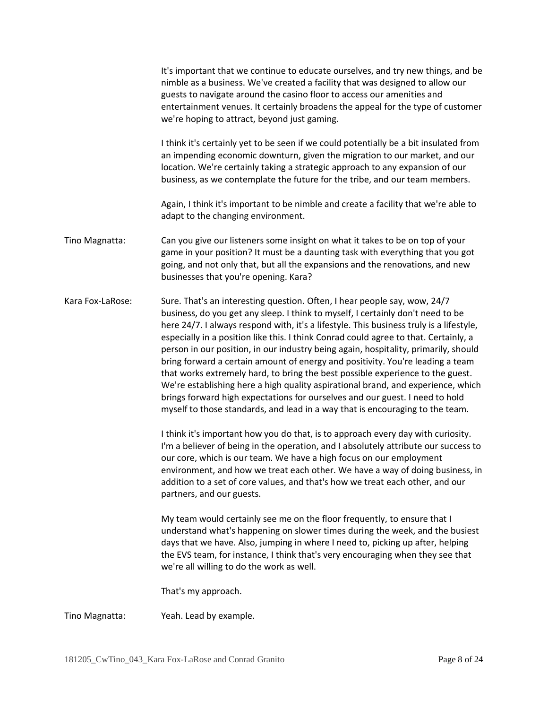|                  | It's important that we continue to educate ourselves, and try new things, and be<br>nimble as a business. We've created a facility that was designed to allow our<br>guests to navigate around the casino floor to access our amenities and<br>entertainment venues. It certainly broadens the appeal for the type of customer<br>we're hoping to attract, beyond just gaming.                                                                                                                                                                                                                                                                                                                                                                                                                                                                                  |
|------------------|-----------------------------------------------------------------------------------------------------------------------------------------------------------------------------------------------------------------------------------------------------------------------------------------------------------------------------------------------------------------------------------------------------------------------------------------------------------------------------------------------------------------------------------------------------------------------------------------------------------------------------------------------------------------------------------------------------------------------------------------------------------------------------------------------------------------------------------------------------------------|
|                  | I think it's certainly yet to be seen if we could potentially be a bit insulated from<br>an impending economic downturn, given the migration to our market, and our<br>location. We're certainly taking a strategic approach to any expansion of our<br>business, as we contemplate the future for the tribe, and our team members.                                                                                                                                                                                                                                                                                                                                                                                                                                                                                                                             |
|                  | Again, I think it's important to be nimble and create a facility that we're able to<br>adapt to the changing environment.                                                                                                                                                                                                                                                                                                                                                                                                                                                                                                                                                                                                                                                                                                                                       |
| Tino Magnatta:   | Can you give our listeners some insight on what it takes to be on top of your<br>game in your position? It must be a daunting task with everything that you got<br>going, and not only that, but all the expansions and the renovations, and new<br>businesses that you're opening. Kara?                                                                                                                                                                                                                                                                                                                                                                                                                                                                                                                                                                       |
| Kara Fox-LaRose: | Sure. That's an interesting question. Often, I hear people say, wow, 24/7<br>business, do you get any sleep. I think to myself, I certainly don't need to be<br>here 24/7. I always respond with, it's a lifestyle. This business truly is a lifestyle,<br>especially in a position like this. I think Conrad could agree to that. Certainly, a<br>person in our position, in our industry being again, hospitality, primarily, should<br>bring forward a certain amount of energy and positivity. You're leading a team<br>that works extremely hard, to bring the best possible experience to the guest.<br>We're establishing here a high quality aspirational brand, and experience, which<br>brings forward high expectations for ourselves and our guest. I need to hold<br>myself to those standards, and lead in a way that is encouraging to the team. |
|                  | I think it's important how you do that, is to approach every day with curiosity.<br>I'm a believer of being in the operation, and I absolutely attribute our success to<br>our core, which is our team. We have a high focus on our employment<br>environment, and how we treat each other. We have a way of doing business, in<br>addition to a set of core values, and that's how we treat each other, and our<br>partners, and our guests.                                                                                                                                                                                                                                                                                                                                                                                                                   |
|                  | My team would certainly see me on the floor frequently, to ensure that I<br>understand what's happening on slower times during the week, and the busiest<br>days that we have. Also, jumping in where I need to, picking up after, helping<br>the EVS team, for instance, I think that's very encouraging when they see that<br>we're all willing to do the work as well.                                                                                                                                                                                                                                                                                                                                                                                                                                                                                       |
|                  | That's my approach.                                                                                                                                                                                                                                                                                                                                                                                                                                                                                                                                                                                                                                                                                                                                                                                                                                             |
| Tino Magnatta:   | Yeah. Lead by example.                                                                                                                                                                                                                                                                                                                                                                                                                                                                                                                                                                                                                                                                                                                                                                                                                                          |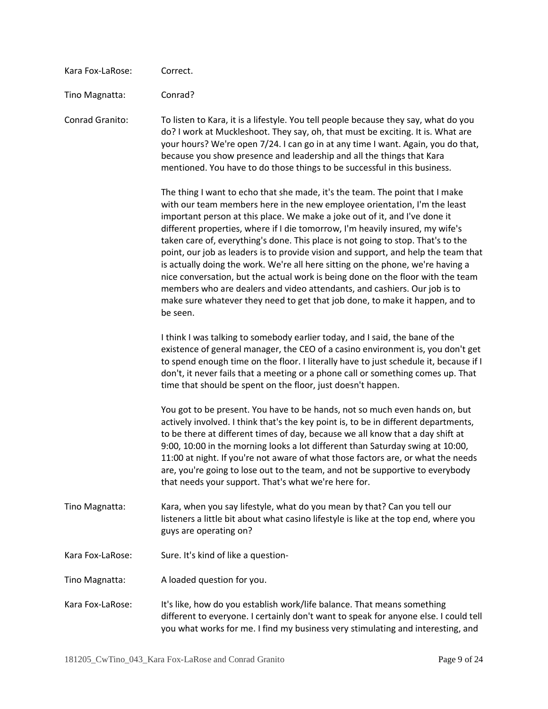| Kara Fox-LaRose: | Correct.                                                                                                                                                                                                                                                                                                                                                                                                                                                                                                                                                                                                                                                                                                                                                                                                                                          |
|------------------|---------------------------------------------------------------------------------------------------------------------------------------------------------------------------------------------------------------------------------------------------------------------------------------------------------------------------------------------------------------------------------------------------------------------------------------------------------------------------------------------------------------------------------------------------------------------------------------------------------------------------------------------------------------------------------------------------------------------------------------------------------------------------------------------------------------------------------------------------|
| Tino Magnatta:   | Conrad?                                                                                                                                                                                                                                                                                                                                                                                                                                                                                                                                                                                                                                                                                                                                                                                                                                           |
| Conrad Granito:  | To listen to Kara, it is a lifestyle. You tell people because they say, what do you<br>do? I work at Muckleshoot. They say, oh, that must be exciting. It is. What are<br>your hours? We're open 7/24. I can go in at any time I want. Again, you do that,<br>because you show presence and leadership and all the things that Kara<br>mentioned. You have to do those things to be successful in this business.                                                                                                                                                                                                                                                                                                                                                                                                                                  |
|                  | The thing I want to echo that she made, it's the team. The point that I make<br>with our team members here in the new employee orientation, I'm the least<br>important person at this place. We make a joke out of it, and I've done it<br>different properties, where if I die tomorrow, I'm heavily insured, my wife's<br>taken care of, everything's done. This place is not going to stop. That's to the<br>point, our job as leaders is to provide vision and support, and help the team that<br>is actually doing the work. We're all here sitting on the phone, we're having a<br>nice conversation, but the actual work is being done on the floor with the team<br>members who are dealers and video attendants, and cashiers. Our job is to<br>make sure whatever they need to get that job done, to make it happen, and to<br>be seen. |
|                  | I think I was talking to somebody earlier today, and I said, the bane of the<br>existence of general manager, the CEO of a casino environment is, you don't get<br>to spend enough time on the floor. I literally have to just schedule it, because if I<br>don't, it never fails that a meeting or a phone call or something comes up. That<br>time that should be spent on the floor, just doesn't happen.                                                                                                                                                                                                                                                                                                                                                                                                                                      |
|                  | You got to be present. You have to be hands, not so much even hands on, but<br>actively involved. I think that's the key point is, to be in different departments,<br>to be there at different times of day, because we all know that a day shift at<br>9:00, 10:00 in the morning looks a lot different than Saturday swing at 10:00,<br>11:00 at night. If you're not aware of what those factors are, or what the needs<br>are, you're going to lose out to the team, and not be supportive to everybody<br>that needs your support. That's what we're here for.                                                                                                                                                                                                                                                                               |
| Tino Magnatta:   | Kara, when you say lifestyle, what do you mean by that? Can you tell our<br>listeners a little bit about what casino lifestyle is like at the top end, where you<br>guys are operating on?                                                                                                                                                                                                                                                                                                                                                                                                                                                                                                                                                                                                                                                        |
| Kara Fox-LaRose: | Sure. It's kind of like a question-                                                                                                                                                                                                                                                                                                                                                                                                                                                                                                                                                                                                                                                                                                                                                                                                               |
| Tino Magnatta:   | A loaded question for you.                                                                                                                                                                                                                                                                                                                                                                                                                                                                                                                                                                                                                                                                                                                                                                                                                        |
| Kara Fox-LaRose: | It's like, how do you establish work/life balance. That means something<br>different to everyone. I certainly don't want to speak for anyone else. I could tell<br>you what works for me. I find my business very stimulating and interesting, and                                                                                                                                                                                                                                                                                                                                                                                                                                                                                                                                                                                                |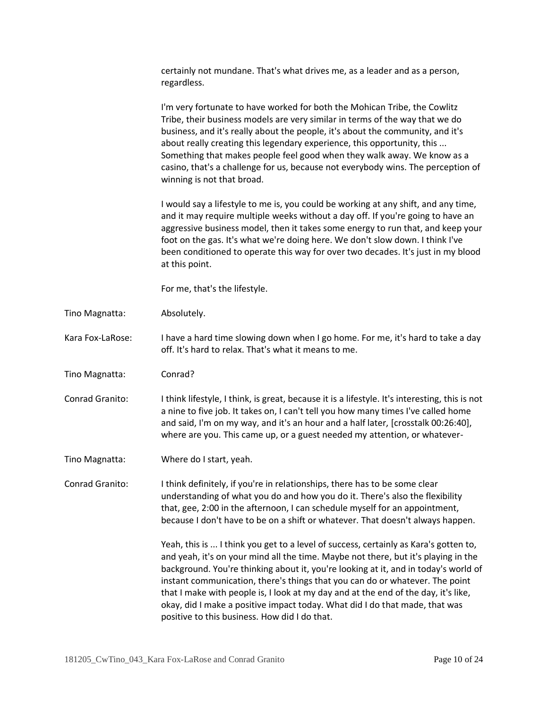|                  | certainly not mundane. That's what drives me, as a leader and as a person,<br>regardless.                                                                                                                                                                                                                                                                                                                                                                                                                                                                               |
|------------------|-------------------------------------------------------------------------------------------------------------------------------------------------------------------------------------------------------------------------------------------------------------------------------------------------------------------------------------------------------------------------------------------------------------------------------------------------------------------------------------------------------------------------------------------------------------------------|
|                  | I'm very fortunate to have worked for both the Mohican Tribe, the Cowlitz<br>Tribe, their business models are very similar in terms of the way that we do<br>business, and it's really about the people, it's about the community, and it's<br>about really creating this legendary experience, this opportunity, this<br>Something that makes people feel good when they walk away. We know as a<br>casino, that's a challenge for us, because not everybody wins. The perception of<br>winning is not that broad.                                                     |
|                  | I would say a lifestyle to me is, you could be working at any shift, and any time,<br>and it may require multiple weeks without a day off. If you're going to have an<br>aggressive business model, then it takes some energy to run that, and keep your<br>foot on the gas. It's what we're doing here. We don't slow down. I think I've<br>been conditioned to operate this way for over two decades. It's just in my blood<br>at this point.                                                                                                                         |
|                  | For me, that's the lifestyle.                                                                                                                                                                                                                                                                                                                                                                                                                                                                                                                                           |
| Tino Magnatta:   | Absolutely.                                                                                                                                                                                                                                                                                                                                                                                                                                                                                                                                                             |
| Kara Fox-LaRose: | I have a hard time slowing down when I go home. For me, it's hard to take a day<br>off. It's hard to relax. That's what it means to me.                                                                                                                                                                                                                                                                                                                                                                                                                                 |
| Tino Magnatta:   | Conrad?                                                                                                                                                                                                                                                                                                                                                                                                                                                                                                                                                                 |
| Conrad Granito:  | I think lifestyle, I think, is great, because it is a lifestyle. It's interesting, this is not<br>a nine to five job. It takes on, I can't tell you how many times I've called home<br>and said, I'm on my way, and it's an hour and a half later, [crosstalk 00:26:40],<br>where are you. This came up, or a guest needed my attention, or whatever-                                                                                                                                                                                                                   |
| Tino Magnatta:   | Where do I start, yeah.                                                                                                                                                                                                                                                                                                                                                                                                                                                                                                                                                 |
| Conrad Granito:  | I think definitely, if you're in relationships, there has to be some clear<br>understanding of what you do and how you do it. There's also the flexibility<br>that, gee, 2:00 in the afternoon, I can schedule myself for an appointment,<br>because I don't have to be on a shift or whatever. That doesn't always happen.                                                                                                                                                                                                                                             |
|                  | Yeah, this is  I think you get to a level of success, certainly as Kara's gotten to,<br>and yeah, it's on your mind all the time. Maybe not there, but it's playing in the<br>background. You're thinking about it, you're looking at it, and in today's world of<br>instant communication, there's things that you can do or whatever. The point<br>that I make with people is, I look at my day and at the end of the day, it's like,<br>okay, did I make a positive impact today. What did I do that made, that was<br>positive to this business. How did I do that. |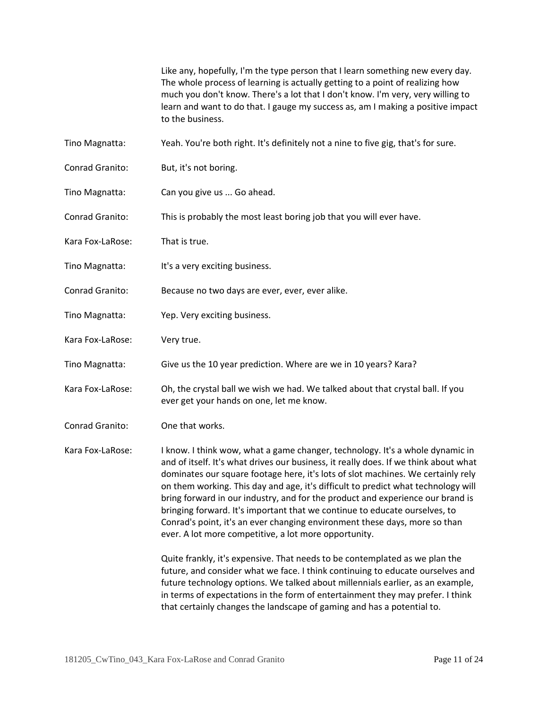Like any, hopefully, I'm the type person that I learn something new every day. The whole process of learning is actually getting to a point of realizing how much you don't know. There's a lot that I don't know. I'm very, very willing to learn and want to do that. I gauge my success as, am I making a positive impact to the business.

- Tino Magnatta: Yeah. You're both right. It's definitely not a nine to five gig, that's for sure.
- Conrad Granito: But, it's not boring.
- Tino Magnatta: Can you give us ... Go ahead.
- Conrad Granito: This is probably the most least boring job that you will ever have.
- Kara Fox-LaRose: That is true.
- Tino Magnatta: It's a very exciting business.
- Conrad Granito: Because no two days are ever, ever, ever alike.
- Tino Magnatta: Yep. Very exciting business.
- Kara Fox-LaRose: Very true.
- Tino Magnatta: Give us the 10 year prediction. Where are we in 10 years? Kara?
- Kara Fox-LaRose: Oh, the crystal ball we wish we had. We talked about that crystal ball. If you ever get your hands on one, let me know.
- Conrad Granito: One that works.
- Kara Fox-LaRose: I know. I think wow, what a game changer, technology. It's a whole dynamic in and of itself. It's what drives our business, it really does. If we think about what dominates our square footage here, it's lots of slot machines. We certainly rely on them working. This day and age, it's difficult to predict what technology will bring forward in our industry, and for the product and experience our brand is bringing forward. It's important that we continue to educate ourselves, to Conrad's point, it's an ever changing environment these days, more so than ever. A lot more competitive, a lot more opportunity.

Quite frankly, it's expensive. That needs to be contemplated as we plan the future, and consider what we face. I think continuing to educate ourselves and future technology options. We talked about millennials earlier, as an example, in terms of expectations in the form of entertainment they may prefer. I think that certainly changes the landscape of gaming and has a potential to.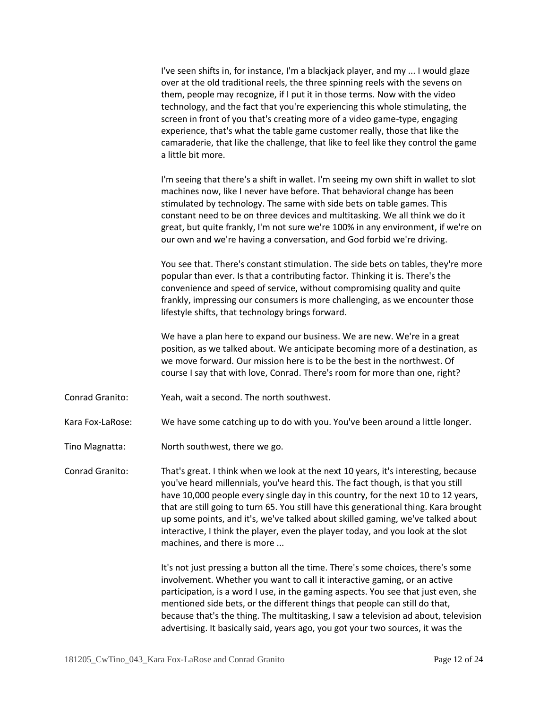I've seen shifts in, for instance, I'm a blackjack player, and my ... I would glaze over at the old traditional reels, the three spinning reels with the sevens on them, people may recognize, if I put it in those terms. Now with the video technology, and the fact that you're experiencing this whole stimulating, the screen in front of you that's creating more of a video game-type, engaging experience, that's what the table game customer really, those that like the camaraderie, that like the challenge, that like to feel like they control the game a little bit more.

I'm seeing that there's a shift in wallet. I'm seeing my own shift in wallet to slot machines now, like I never have before. That behavioral change has been stimulated by technology. The same with side bets on table games. This constant need to be on three devices and multitasking. We all think we do it great, but quite frankly, I'm not sure we're 100% in any environment, if we're on our own and we're having a conversation, and God forbid we're driving.

You see that. There's constant stimulation. The side bets on tables, they're more popular than ever. Is that a contributing factor. Thinking it is. There's the convenience and speed of service, without compromising quality and quite frankly, impressing our consumers is more challenging, as we encounter those lifestyle shifts, that technology brings forward.

We have a plan here to expand our business. We are new. We're in a great position, as we talked about. We anticipate becoming more of a destination, as we move forward. Our mission here is to be the best in the northwest. Of course I say that with love, Conrad. There's room for more than one, right?

Conrad Granito: Yeah, wait a second. The north southwest.

Kara Fox-LaRose: We have some catching up to do with you. You've been around a little longer.

Tino Magnatta: North southwest, there we go.

Conrad Granito: That's great. I think when we look at the next 10 years, it's interesting, because you've heard millennials, you've heard this. The fact though, is that you still have 10,000 people every single day in this country, for the next 10 to 12 years, that are still going to turn 65. You still have this generational thing. Kara brought up some points, and it's, we've talked about skilled gaming, we've talked about interactive, I think the player, even the player today, and you look at the slot machines, and there is more ...

> It's not just pressing a button all the time. There's some choices, there's some involvement. Whether you want to call it interactive gaming, or an active participation, is a word I use, in the gaming aspects. You see that just even, she mentioned side bets, or the different things that people can still do that, because that's the thing. The multitasking, I saw a television ad about, television advertising. It basically said, years ago, you got your two sources, it was the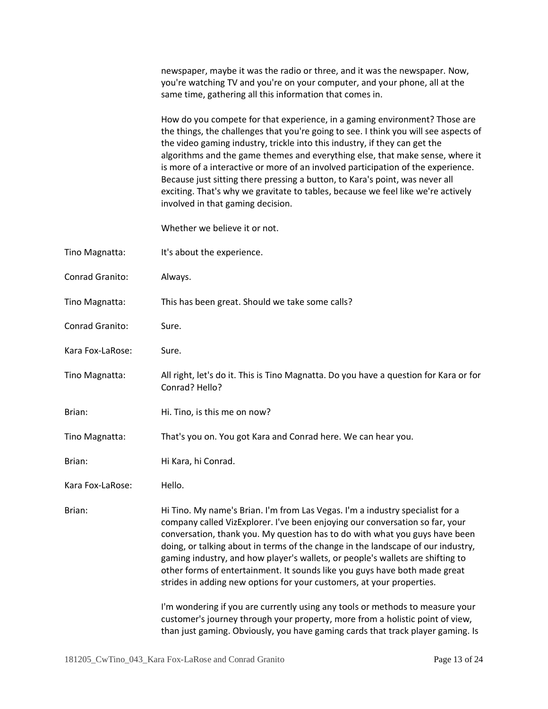|                  | newspaper, maybe it was the radio or three, and it was the newspaper. Now,<br>you're watching TV and you're on your computer, and your phone, all at the<br>same time, gathering all this information that comes in.                                                                                                                                                                                                                                                                                                                                                                                                                                                                                                                                                                                                           |
|------------------|--------------------------------------------------------------------------------------------------------------------------------------------------------------------------------------------------------------------------------------------------------------------------------------------------------------------------------------------------------------------------------------------------------------------------------------------------------------------------------------------------------------------------------------------------------------------------------------------------------------------------------------------------------------------------------------------------------------------------------------------------------------------------------------------------------------------------------|
|                  | How do you compete for that experience, in a gaming environment? Those are<br>the things, the challenges that you're going to see. I think you will see aspects of<br>the video gaming industry, trickle into this industry, if they can get the<br>algorithms and the game themes and everything else, that make sense, where it<br>is more of a interactive or more of an involved participation of the experience.<br>Because just sitting there pressing a button, to Kara's point, was never all<br>exciting. That's why we gravitate to tables, because we feel like we're actively<br>involved in that gaming decision.                                                                                                                                                                                                 |
|                  | Whether we believe it or not.                                                                                                                                                                                                                                                                                                                                                                                                                                                                                                                                                                                                                                                                                                                                                                                                  |
| Tino Magnatta:   | It's about the experience.                                                                                                                                                                                                                                                                                                                                                                                                                                                                                                                                                                                                                                                                                                                                                                                                     |
| Conrad Granito:  | Always.                                                                                                                                                                                                                                                                                                                                                                                                                                                                                                                                                                                                                                                                                                                                                                                                                        |
| Tino Magnatta:   | This has been great. Should we take some calls?                                                                                                                                                                                                                                                                                                                                                                                                                                                                                                                                                                                                                                                                                                                                                                                |
| Conrad Granito:  | Sure.                                                                                                                                                                                                                                                                                                                                                                                                                                                                                                                                                                                                                                                                                                                                                                                                                          |
| Kara Fox-LaRose: | Sure.                                                                                                                                                                                                                                                                                                                                                                                                                                                                                                                                                                                                                                                                                                                                                                                                                          |
| Tino Magnatta:   | All right, let's do it. This is Tino Magnatta. Do you have a question for Kara or for<br>Conrad? Hello?                                                                                                                                                                                                                                                                                                                                                                                                                                                                                                                                                                                                                                                                                                                        |
| Brian:           | Hi. Tino, is this me on now?                                                                                                                                                                                                                                                                                                                                                                                                                                                                                                                                                                                                                                                                                                                                                                                                   |
| Tino Magnatta:   | That's you on. You got Kara and Conrad here. We can hear you.                                                                                                                                                                                                                                                                                                                                                                                                                                                                                                                                                                                                                                                                                                                                                                  |
| Brian:           | Hi Kara, hi Conrad.                                                                                                                                                                                                                                                                                                                                                                                                                                                                                                                                                                                                                                                                                                                                                                                                            |
| Kara Fox-LaRose: | Hello.                                                                                                                                                                                                                                                                                                                                                                                                                                                                                                                                                                                                                                                                                                                                                                                                                         |
| Brian:           | Hi Tino. My name's Brian. I'm from Las Vegas. I'm a industry specialist for a<br>company called VizExplorer. I've been enjoying our conversation so far, your<br>conversation, thank you. My question has to do with what you guys have been<br>doing, or talking about in terms of the change in the landscape of our industry,<br>gaming industry, and how player's wallets, or people's wallets are shifting to<br>other forms of entertainment. It sounds like you guys have both made great<br>strides in adding new options for your customers, at your properties.<br>I'm wondering if you are currently using any tools or methods to measure your<br>customer's journey through your property, more from a holistic point of view,<br>than just gaming. Obviously, you have gaming cards that track player gaming. Is |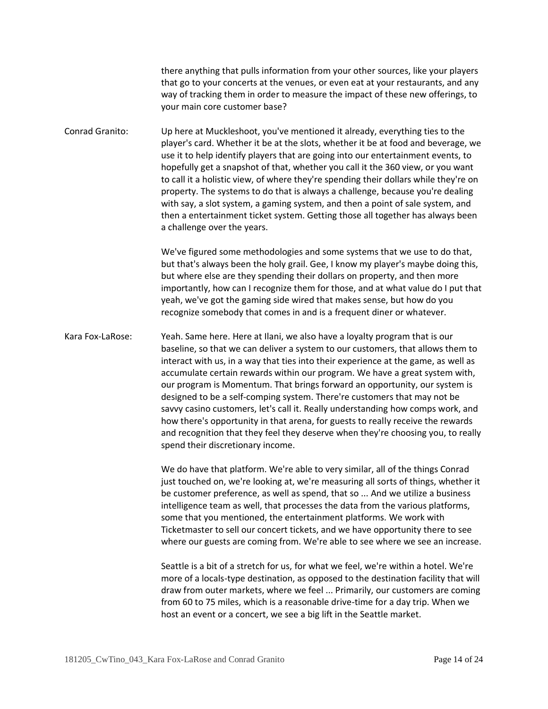there anything that pulls information from your other sources, like your players that go to your concerts at the venues, or even eat at your restaurants, and any way of tracking them in order to measure the impact of these new offerings, to your main core customer base?

Conrad Granito: Up here at Muckleshoot, you've mentioned it already, everything ties to the player's card. Whether it be at the slots, whether it be at food and beverage, we use it to help identify players that are going into our entertainment events, to hopefully get a snapshot of that, whether you call it the 360 view, or you want to call it a holistic view, of where they're spending their dollars while they're on property. The systems to do that is always a challenge, because you're dealing with say, a slot system, a gaming system, and then a point of sale system, and then a entertainment ticket system. Getting those all together has always been a challenge over the years.

> We've figured some methodologies and some systems that we use to do that, but that's always been the holy grail. Gee, I know my player's maybe doing this, but where else are they spending their dollars on property, and then more importantly, how can I recognize them for those, and at what value do I put that yeah, we've got the gaming side wired that makes sense, but how do you recognize somebody that comes in and is a frequent diner or whatever.

Kara Fox-LaRose: Yeah. Same here. Here at Ilani, we also have a loyalty program that is our baseline, so that we can deliver a system to our customers, that allows them to interact with us, in a way that ties into their experience at the game, as well as accumulate certain rewards within our program. We have a great system with, our program is Momentum. That brings forward an opportunity, our system is designed to be a self-comping system. There're customers that may not be savvy casino customers, let's call it. Really understanding how comps work, and how there's opportunity in that arena, for guests to really receive the rewards and recognition that they feel they deserve when they're choosing you, to really spend their discretionary income.

> We do have that platform. We're able to very similar, all of the things Conrad just touched on, we're looking at, we're measuring all sorts of things, whether it be customer preference, as well as spend, that so ... And we utilize a business intelligence team as well, that processes the data from the various platforms, some that you mentioned, the entertainment platforms. We work with Ticketmaster to sell our concert tickets, and we have opportunity there to see where our guests are coming from. We're able to see where we see an increase.

> Seattle is a bit of a stretch for us, for what we feel, we're within a hotel. We're more of a locals-type destination, as opposed to the destination facility that will draw from outer markets, where we feel ... Primarily, our customers are coming from 60 to 75 miles, which is a reasonable drive-time for a day trip. When we host an event or a concert, we see a big lift in the Seattle market.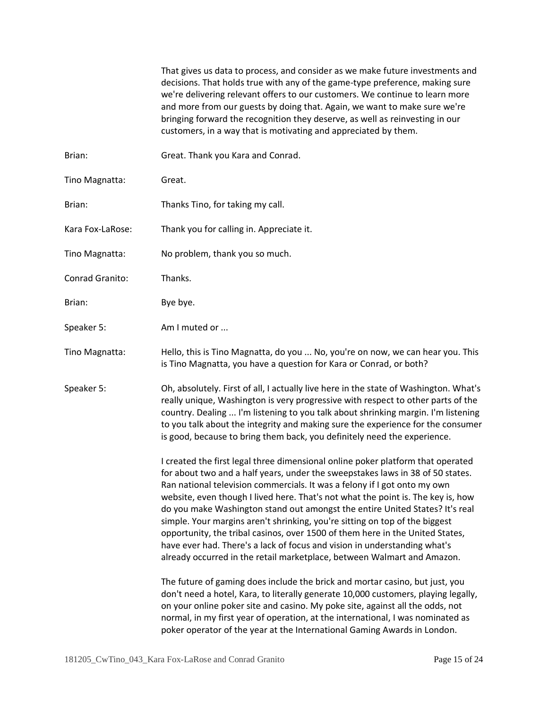That gives us data to process, and consider as we make future investments and decisions. That holds true with any of the game-type preference, making sure we're delivering relevant offers to our customers. We continue to learn more and more from our guests by doing that. Again, we want to make sure we're bringing forward the recognition they deserve, as well as reinvesting in our customers, in a way that is motivating and appreciated by them.

- Brian: Great. Thank you Kara and Conrad.
- Tino Magnatta: Great.
- Brian: Thanks Tino, for taking my call.
- Kara Fox-LaRose: Thank you for calling in. Appreciate it.
- Tino Magnatta: No problem, thank you so much.
- Conrad Granito: Thanks.
- Brian: Bye bye.
- Speaker 5: Am I muted or ...
- Tino Magnatta: Hello, this is Tino Magnatta, do you ... No, you're on now, we can hear you. This is Tino Magnatta, you have a question for Kara or Conrad, or both?
- Speaker 5: Oh, absolutely. First of all, I actually live here in the state of Washington. What's really unique, Washington is very progressive with respect to other parts of the country. Dealing ... I'm listening to you talk about shrinking margin. I'm listening to you talk about the integrity and making sure the experience for the consumer is good, because to bring them back, you definitely need the experience.

I created the first legal three dimensional online poker platform that operated for about two and a half years, under the sweepstakes laws in 38 of 50 states. Ran national television commercials. It was a felony if I got onto my own website, even though I lived here. That's not what the point is. The key is, how do you make Washington stand out amongst the entire United States? It's real simple. Your margins aren't shrinking, you're sitting on top of the biggest opportunity, the tribal casinos, over 1500 of them here in the United States, have ever had. There's a lack of focus and vision in understanding what's already occurred in the retail marketplace, between Walmart and Amazon.

The future of gaming does include the brick and mortar casino, but just, you don't need a hotel, Kara, to literally generate 10,000 customers, playing legally, on your online poker site and casino. My poke site, against all the odds, not normal, in my first year of operation, at the international, I was nominated as poker operator of the year at the International Gaming Awards in London.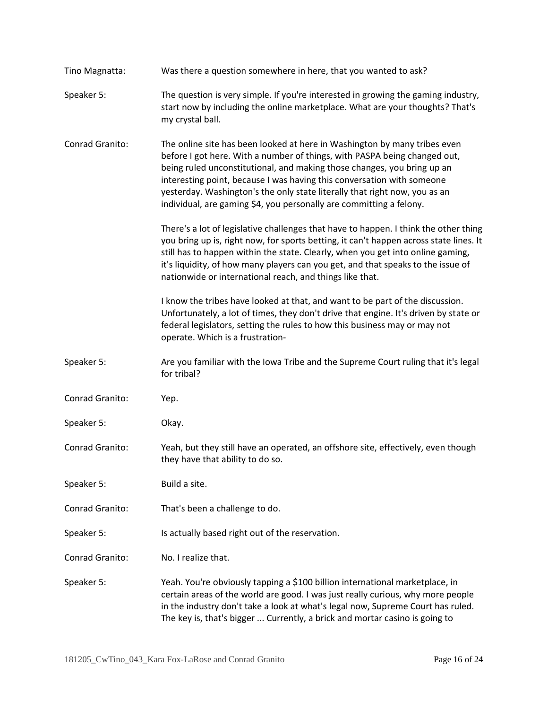| Tino Magnatta:  | Was there a question somewhere in here, that you wanted to ask?                                                                                                                                                                                                                                                                                                                                                                                                  |
|-----------------|------------------------------------------------------------------------------------------------------------------------------------------------------------------------------------------------------------------------------------------------------------------------------------------------------------------------------------------------------------------------------------------------------------------------------------------------------------------|
| Speaker 5:      | The question is very simple. If you're interested in growing the gaming industry,<br>start now by including the online marketplace. What are your thoughts? That's<br>my crystal ball.                                                                                                                                                                                                                                                                           |
| Conrad Granito: | The online site has been looked at here in Washington by many tribes even<br>before I got here. With a number of things, with PASPA being changed out,<br>being ruled unconstitutional, and making those changes, you bring up an<br>interesting point, because I was having this conversation with someone<br>yesterday. Washington's the only state literally that right now, you as an<br>individual, are gaming \$4, you personally are committing a felony. |
|                 | There's a lot of legislative challenges that have to happen. I think the other thing<br>you bring up is, right now, for sports betting, it can't happen across state lines. It<br>still has to happen within the state. Clearly, when you get into online gaming,<br>it's liquidity, of how many players can you get, and that speaks to the issue of<br>nationwide or international reach, and things like that.                                                |
|                 | I know the tribes have looked at that, and want to be part of the discussion.<br>Unfortunately, a lot of times, they don't drive that engine. It's driven by state or<br>federal legislators, setting the rules to how this business may or may not<br>operate. Which is a frustration-                                                                                                                                                                          |
| Speaker 5:      | Are you familiar with the lowa Tribe and the Supreme Court ruling that it's legal<br>for tribal?                                                                                                                                                                                                                                                                                                                                                                 |
| Conrad Granito: | Yep.                                                                                                                                                                                                                                                                                                                                                                                                                                                             |
| Speaker 5:      | Okay.                                                                                                                                                                                                                                                                                                                                                                                                                                                            |
| Conrad Granito: | Yeah, but they still have an operated, an offshore site, effectively, even though<br>they have that ability to do so.                                                                                                                                                                                                                                                                                                                                            |
| Speaker 5:      | Build a site.                                                                                                                                                                                                                                                                                                                                                                                                                                                    |
| Conrad Granito: | That's been a challenge to do.                                                                                                                                                                                                                                                                                                                                                                                                                                   |
| Speaker 5:      | Is actually based right out of the reservation.                                                                                                                                                                                                                                                                                                                                                                                                                  |
| Conrad Granito: | No. I realize that.                                                                                                                                                                                                                                                                                                                                                                                                                                              |
| Speaker 5:      | Yeah. You're obviously tapping a \$100 billion international marketplace, in<br>certain areas of the world are good. I was just really curious, why more people<br>in the industry don't take a look at what's legal now, Supreme Court has ruled.<br>The key is, that's bigger  Currently, a brick and mortar casino is going to                                                                                                                                |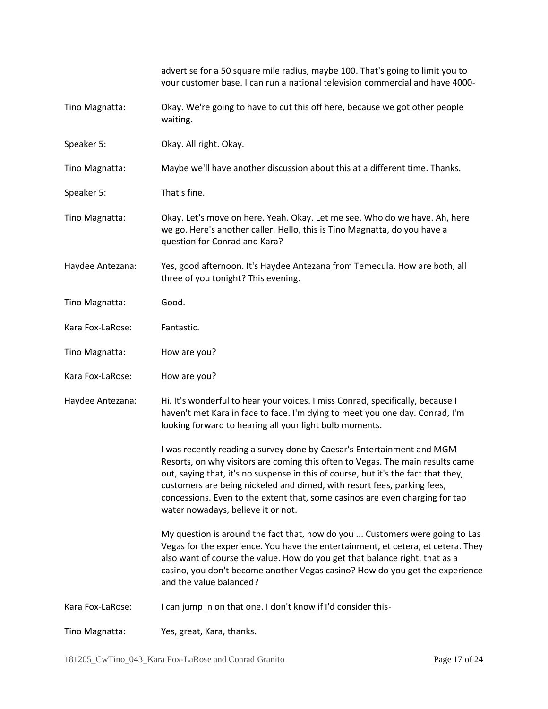|                  | advertise for a 50 square mile radius, maybe 100. That's going to limit you to<br>your customer base. I can run a national television commercial and have 4000-                                                                                                                                                                                                                                                                                 |
|------------------|-------------------------------------------------------------------------------------------------------------------------------------------------------------------------------------------------------------------------------------------------------------------------------------------------------------------------------------------------------------------------------------------------------------------------------------------------|
| Tino Magnatta:   | Okay. We're going to have to cut this off here, because we got other people<br>waiting.                                                                                                                                                                                                                                                                                                                                                         |
| Speaker 5:       | Okay. All right. Okay.                                                                                                                                                                                                                                                                                                                                                                                                                          |
| Tino Magnatta:   | Maybe we'll have another discussion about this at a different time. Thanks.                                                                                                                                                                                                                                                                                                                                                                     |
| Speaker 5:       | That's fine.                                                                                                                                                                                                                                                                                                                                                                                                                                    |
| Tino Magnatta:   | Okay. Let's move on here. Yeah. Okay. Let me see. Who do we have. Ah, here<br>we go. Here's another caller. Hello, this is Tino Magnatta, do you have a<br>question for Conrad and Kara?                                                                                                                                                                                                                                                        |
| Haydee Antezana: | Yes, good afternoon. It's Haydee Antezana from Temecula. How are both, all<br>three of you tonight? This evening.                                                                                                                                                                                                                                                                                                                               |
| Tino Magnatta:   | Good.                                                                                                                                                                                                                                                                                                                                                                                                                                           |
| Kara Fox-LaRose: | Fantastic.                                                                                                                                                                                                                                                                                                                                                                                                                                      |
| Tino Magnatta:   | How are you?                                                                                                                                                                                                                                                                                                                                                                                                                                    |
| Kara Fox-LaRose: | How are you?                                                                                                                                                                                                                                                                                                                                                                                                                                    |
| Haydee Antezana: | Hi. It's wonderful to hear your voices. I miss Conrad, specifically, because I<br>haven't met Kara in face to face. I'm dying to meet you one day. Conrad, I'm<br>looking forward to hearing all your light bulb moments.                                                                                                                                                                                                                       |
|                  | I was recently reading a survey done by Caesar's Entertainment and MGM<br>Resorts, on why visitors are coming this often to Vegas. The main results came<br>out, saying that, it's no suspense in this of course, but it's the fact that they,<br>customers are being nickeled and dimed, with resort fees, parking fees,<br>concessions. Even to the extent that, some casinos are even charging for tap<br>water nowadays, believe it or not. |
|                  | My question is around the fact that, how do you  Customers were going to Las<br>Vegas for the experience. You have the entertainment, et cetera, et cetera. They<br>also want of course the value. How do you get that balance right, that as a<br>casino, you don't become another Vegas casino? How do you get the experience<br>and the value balanced?                                                                                      |
| Kara Fox-LaRose: | I can jump in on that one. I don't know if I'd consider this-                                                                                                                                                                                                                                                                                                                                                                                   |
| Tino Magnatta:   | Yes, great, Kara, thanks.                                                                                                                                                                                                                                                                                                                                                                                                                       |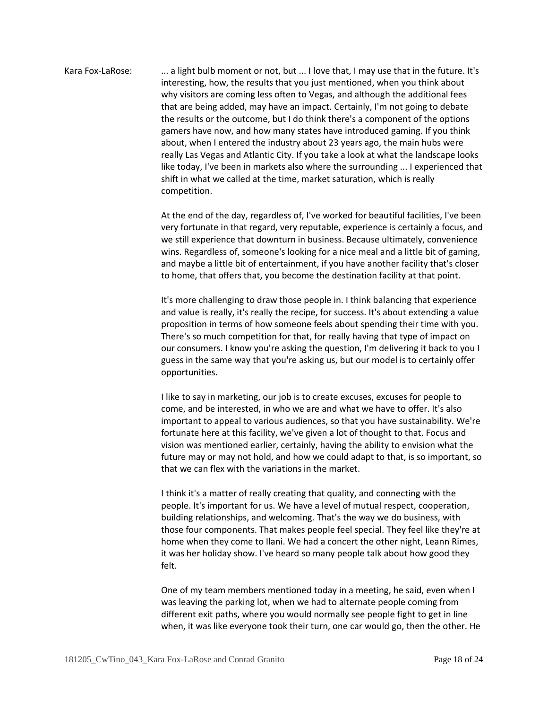Kara Fox-LaRose: ... a light bulb moment or not, but ... I love that, I may use that in the future. It's interesting, how, the results that you just mentioned, when you think about why visitors are coming less often to Vegas, and although the additional fees that are being added, may have an impact. Certainly, I'm not going to debate the results or the outcome, but I do think there's a component of the options gamers have now, and how many states have introduced gaming. If you think about, when I entered the industry about 23 years ago, the main hubs were really Las Vegas and Atlantic City. If you take a look at what the landscape looks like today, I've been in markets also where the surrounding ... I experienced that shift in what we called at the time, market saturation, which is really competition.

> At the end of the day, regardless of, I've worked for beautiful facilities, I've been very fortunate in that regard, very reputable, experience is certainly a focus, and we still experience that downturn in business. Because ultimately, convenience wins. Regardless of, someone's looking for a nice meal and a little bit of gaming, and maybe a little bit of entertainment, if you have another facility that's closer to home, that offers that, you become the destination facility at that point.

It's more challenging to draw those people in. I think balancing that experience and value is really, it's really the recipe, for success. It's about extending a value proposition in terms of how someone feels about spending their time with you. There's so much competition for that, for really having that type of impact on our consumers. I know you're asking the question, I'm delivering it back to you I guess in the same way that you're asking us, but our model is to certainly offer opportunities.

I like to say in marketing, our job is to create excuses, excuses for people to come, and be interested, in who we are and what we have to offer. It's also important to appeal to various audiences, so that you have sustainability. We're fortunate here at this facility, we've given a lot of thought to that. Focus and vision was mentioned earlier, certainly, having the ability to envision what the future may or may not hold, and how we could adapt to that, is so important, so that we can flex with the variations in the market.

I think it's a matter of really creating that quality, and connecting with the people. It's important for us. We have a level of mutual respect, cooperation, building relationships, and welcoming. That's the way we do business, with those four components. That makes people feel special. They feel like they're at home when they come to Ilani. We had a concert the other night, Leann Rimes, it was her holiday show. I've heard so many people talk about how good they felt.

One of my team members mentioned today in a meeting, he said, even when I was leaving the parking lot, when we had to alternate people coming from different exit paths, where you would normally see people fight to get in line when, it was like everyone took their turn, one car would go, then the other. He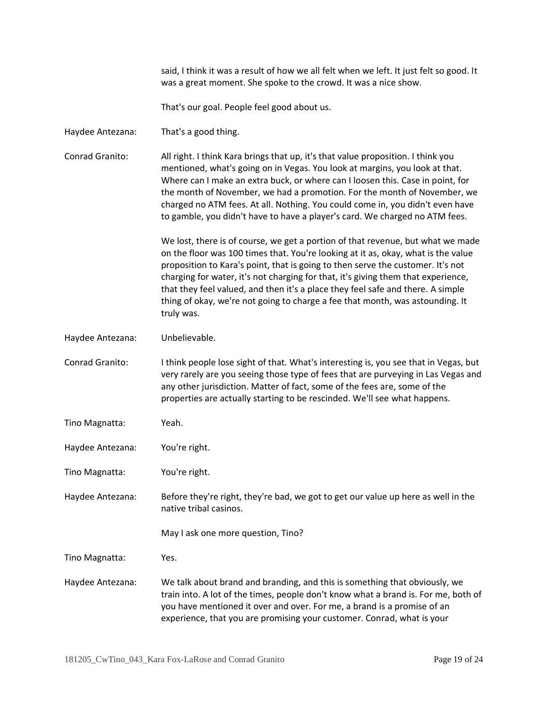That's our goal. People feel good about us. Haydee Antezana: That's a good thing. Conrad Granito: All right. I think Kara brings that up, it's that value proposition. I think you mentioned, what's going on in Vegas. You look at margins, you look at that. Where can I make an extra buck, or where can I loosen this. Case in point, for the month of November, we had a promotion. For the month of November, we charged no ATM fees. At all. Nothing. You could come in, you didn't even have to gamble, you didn't have to have a player's card. We charged no ATM fees. We lost, there is of course, we get a portion of that revenue, but what we made on the floor was 100 times that. You're looking at it as, okay, what is the value proposition to Kara's point, that is going to then serve the customer. It's not charging for water, it's not charging for that, it's giving them that experience, that they feel valued, and then it's a place they feel safe and there. A simple thing of okay, we're not going to charge a fee that month, was astounding. It truly was. Haydee Antezana: Unbelievable. Conrad Granito: I think people lose sight of that. What's interesting is, you see that in Vegas, but very rarely are you seeing those type of fees that are purveying in Las Vegas and any other jurisdiction. Matter of fact, some of the fees are, some of the properties are actually starting to be rescinded. We'll see what happens. Tino Magnatta: Yeah. Haydee Antezana: You're right. Tino Magnatta: You're right. Haydee Antezana: Before they're right, they're bad, we got to get our value up here as well in the native tribal casinos. May I ask one more question, Tino? Tino Magnatta: Yes. Haydee Antezana: We talk about brand and branding, and this is something that obviously, we train into. A lot of the times, people don't know what a brand is. For me, both of you have mentioned it over and over. For me, a brand is a promise of an experience, that you are promising your customer. Conrad, what is your

said, I think it was a result of how we all felt when we left. It just felt so good. It

was a great moment. She spoke to the crowd. It was a nice show.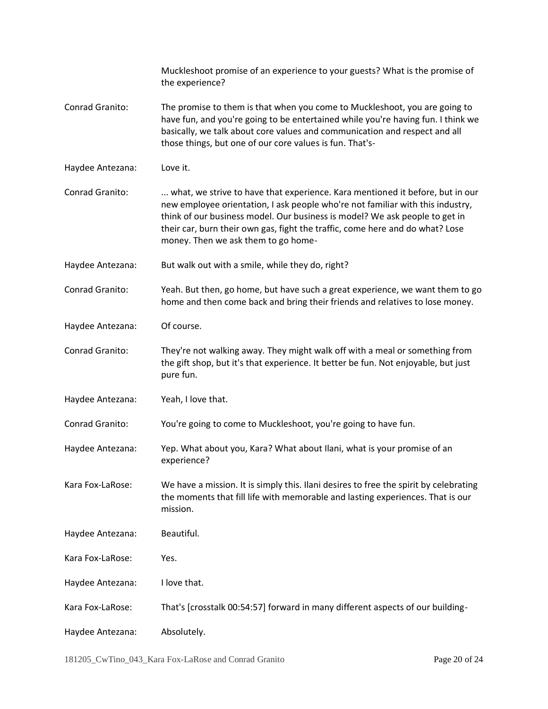|                  | Muckleshoot promise of an experience to your guests? What is the promise of<br>the experience?                                                                                                                                                                                                                                                                         |
|------------------|------------------------------------------------------------------------------------------------------------------------------------------------------------------------------------------------------------------------------------------------------------------------------------------------------------------------------------------------------------------------|
| Conrad Granito:  | The promise to them is that when you come to Muckleshoot, you are going to<br>have fun, and you're going to be entertained while you're having fun. I think we<br>basically, we talk about core values and communication and respect and all<br>those things, but one of our core values is fun. That's-                                                               |
| Haydee Antezana: | Love it.                                                                                                                                                                                                                                                                                                                                                               |
| Conrad Granito:  | what, we strive to have that experience. Kara mentioned it before, but in our<br>new employee orientation, I ask people who're not familiar with this industry,<br>think of our business model. Our business is model? We ask people to get in<br>their car, burn their own gas, fight the traffic, come here and do what? Lose<br>money. Then we ask them to go home- |
| Haydee Antezana: | But walk out with a smile, while they do, right?                                                                                                                                                                                                                                                                                                                       |
| Conrad Granito:  | Yeah. But then, go home, but have such a great experience, we want them to go<br>home and then come back and bring their friends and relatives to lose money.                                                                                                                                                                                                          |
| Haydee Antezana: | Of course.                                                                                                                                                                                                                                                                                                                                                             |
| Conrad Granito:  | They're not walking away. They might walk off with a meal or something from<br>the gift shop, but it's that experience. It better be fun. Not enjoyable, but just<br>pure fun.                                                                                                                                                                                         |
| Haydee Antezana: | Yeah, I love that.                                                                                                                                                                                                                                                                                                                                                     |
| Conrad Granito:  | You're going to come to Muckleshoot, you're going to have fun.                                                                                                                                                                                                                                                                                                         |
| Haydee Antezana: | Yep. What about you, Kara? What about Ilani, what is your promise of an<br>experience?                                                                                                                                                                                                                                                                                 |
| Kara Fox-LaRose: | We have a mission. It is simply this. Ilani desires to free the spirit by celebrating<br>the moments that fill life with memorable and lasting experiences. That is our<br>mission.                                                                                                                                                                                    |
| Haydee Antezana: | Beautiful.                                                                                                                                                                                                                                                                                                                                                             |
| Kara Fox-LaRose: | Yes.                                                                                                                                                                                                                                                                                                                                                                   |
| Haydee Antezana: | I love that.                                                                                                                                                                                                                                                                                                                                                           |
| Kara Fox-LaRose: | That's [crosstalk 00:54:57] forward in many different aspects of our building-                                                                                                                                                                                                                                                                                         |
| Haydee Antezana: | Absolutely.                                                                                                                                                                                                                                                                                                                                                            |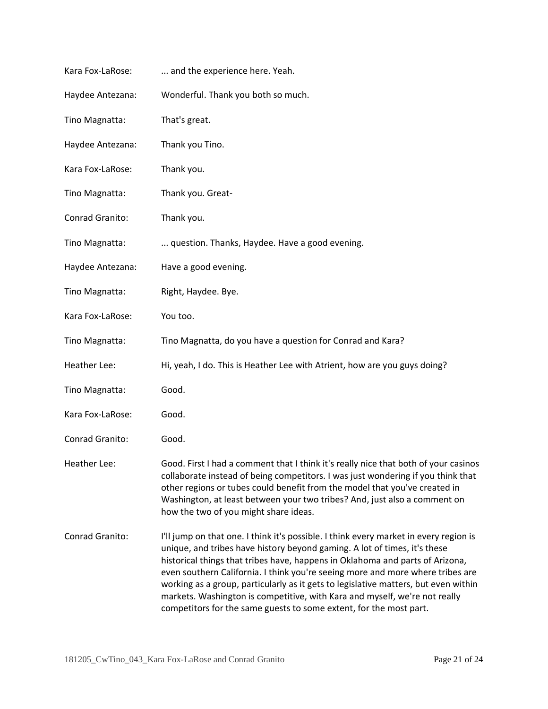| Kara Fox-LaRose: | and the experience here. Yeah.                                                                                                                                                                                                                                                                                                                                                                                                                                                                                                                                                   |
|------------------|----------------------------------------------------------------------------------------------------------------------------------------------------------------------------------------------------------------------------------------------------------------------------------------------------------------------------------------------------------------------------------------------------------------------------------------------------------------------------------------------------------------------------------------------------------------------------------|
| Haydee Antezana: | Wonderful. Thank you both so much.                                                                                                                                                                                                                                                                                                                                                                                                                                                                                                                                               |
| Tino Magnatta:   | That's great.                                                                                                                                                                                                                                                                                                                                                                                                                                                                                                                                                                    |
| Haydee Antezana: | Thank you Tino.                                                                                                                                                                                                                                                                                                                                                                                                                                                                                                                                                                  |
| Kara Fox-LaRose: | Thank you.                                                                                                                                                                                                                                                                                                                                                                                                                                                                                                                                                                       |
| Tino Magnatta:   | Thank you. Great-                                                                                                                                                                                                                                                                                                                                                                                                                                                                                                                                                                |
| Conrad Granito:  | Thank you.                                                                                                                                                                                                                                                                                                                                                                                                                                                                                                                                                                       |
| Tino Magnatta:   | question. Thanks, Haydee. Have a good evening.                                                                                                                                                                                                                                                                                                                                                                                                                                                                                                                                   |
| Haydee Antezana: | Have a good evening.                                                                                                                                                                                                                                                                                                                                                                                                                                                                                                                                                             |
| Tino Magnatta:   | Right, Haydee. Bye.                                                                                                                                                                                                                                                                                                                                                                                                                                                                                                                                                              |
| Kara Fox-LaRose: | You too.                                                                                                                                                                                                                                                                                                                                                                                                                                                                                                                                                                         |
| Tino Magnatta:   | Tino Magnatta, do you have a question for Conrad and Kara?                                                                                                                                                                                                                                                                                                                                                                                                                                                                                                                       |
| Heather Lee:     | Hi, yeah, I do. This is Heather Lee with Atrient, how are you guys doing?                                                                                                                                                                                                                                                                                                                                                                                                                                                                                                        |
| Tino Magnatta:   | Good.                                                                                                                                                                                                                                                                                                                                                                                                                                                                                                                                                                            |
| Kara Fox-LaRose: | Good.                                                                                                                                                                                                                                                                                                                                                                                                                                                                                                                                                                            |
| Conrad Granito:  | Good.                                                                                                                                                                                                                                                                                                                                                                                                                                                                                                                                                                            |
| Heather Lee:     | Good. First I had a comment that I think it's really nice that both of your casinos<br>collaborate instead of being competitors. I was just wondering if you think that<br>other regions or tubes could benefit from the model that you've created in<br>Washington, at least between your two tribes? And, just also a comment on<br>how the two of you might share ideas.                                                                                                                                                                                                      |
| Conrad Granito:  | I'll jump on that one. I think it's possible. I think every market in every region is<br>unique, and tribes have history beyond gaming. A lot of times, it's these<br>historical things that tribes have, happens in Oklahoma and parts of Arizona,<br>even southern California. I think you're seeing more and more where tribes are<br>working as a group, particularly as it gets to legislative matters, but even within<br>markets. Washington is competitive, with Kara and myself, we're not really<br>competitors for the same guests to some extent, for the most part. |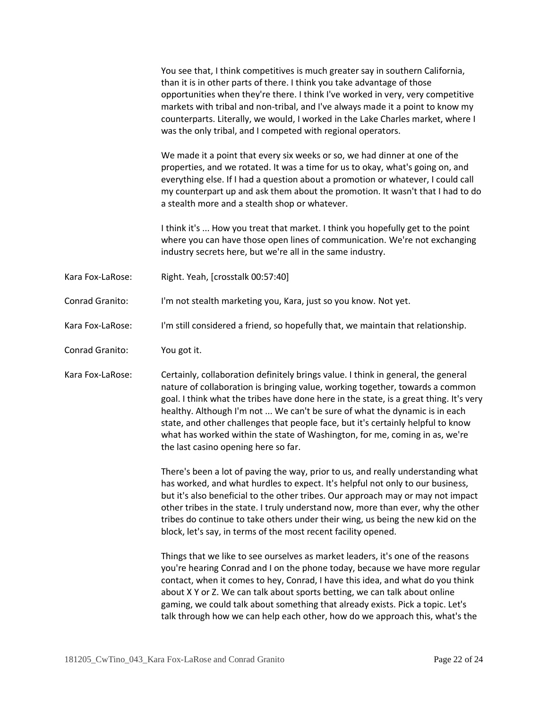You see that, I think competitives is much greater say in southern California, than it is in other parts of there. I think you take advantage of those opportunities when they're there. I think I've worked in very, very competitive markets with tribal and non-tribal, and I've always made it a point to know my counterparts. Literally, we would, I worked in the Lake Charles market, where I was the only tribal, and I competed with regional operators.

We made it a point that every six weeks or so, we had dinner at one of the properties, and we rotated. It was a time for us to okay, what's going on, and everything else. If I had a question about a promotion or whatever, I could call my counterpart up and ask them about the promotion. It wasn't that I had to do a stealth more and a stealth shop or whatever.

I think it's ... How you treat that market. I think you hopefully get to the point where you can have those open lines of communication. We're not exchanging industry secrets here, but we're all in the same industry.

- Kara Fox-LaRose: Right. Yeah, [crosstalk 00:57:40]
- Conrad Granito: I'm not stealth marketing you, Kara, just so you know. Not yet.
- Kara Fox-LaRose: I'm still considered a friend, so hopefully that, we maintain that relationship.
- Conrad Granito: You got it.

Kara Fox-LaRose: Certainly, collaboration definitely brings value. I think in general, the general nature of collaboration is bringing value, working together, towards a common goal. I think what the tribes have done here in the state, is a great thing. It's very healthy. Although I'm not ... We can't be sure of what the dynamic is in each state, and other challenges that people face, but it's certainly helpful to know what has worked within the state of Washington, for me, coming in as, we're the last casino opening here so far.

> There's been a lot of paving the way, prior to us, and really understanding what has worked, and what hurdles to expect. It's helpful not only to our business, but it's also beneficial to the other tribes. Our approach may or may not impact other tribes in the state. I truly understand now, more than ever, why the other tribes do continue to take others under their wing, us being the new kid on the block, let's say, in terms of the most recent facility opened.

> Things that we like to see ourselves as market leaders, it's one of the reasons you're hearing Conrad and I on the phone today, because we have more regular contact, when it comes to hey, Conrad, I have this idea, and what do you think about X Y or Z. We can talk about sports betting, we can talk about online gaming, we could talk about something that already exists. Pick a topic. Let's talk through how we can help each other, how do we approach this, what's the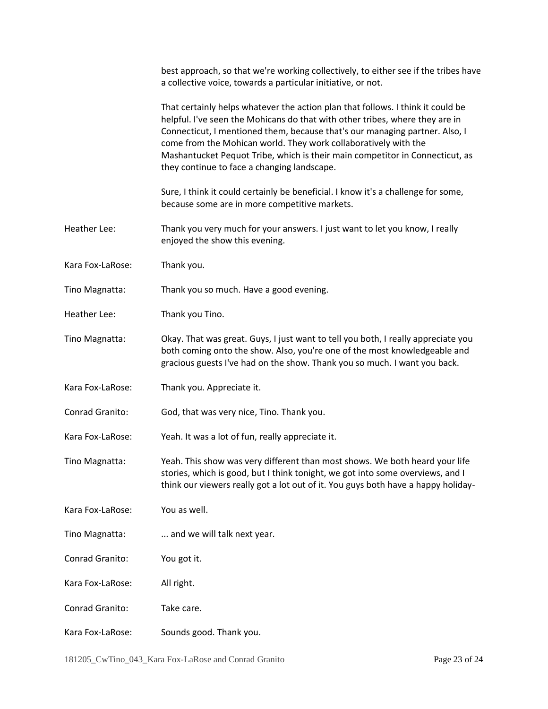|                  | best approach, so that we're working collectively, to either see if the tribes have<br>a collective voice, towards a particular initiative, or not.                                                                                                                                                                                                                                                                                              |
|------------------|--------------------------------------------------------------------------------------------------------------------------------------------------------------------------------------------------------------------------------------------------------------------------------------------------------------------------------------------------------------------------------------------------------------------------------------------------|
|                  | That certainly helps whatever the action plan that follows. I think it could be<br>helpful. I've seen the Mohicans do that with other tribes, where they are in<br>Connecticut, I mentioned them, because that's our managing partner. Also, I<br>come from the Mohican world. They work collaboratively with the<br>Mashantucket Pequot Tribe, which is their main competitor in Connecticut, as<br>they continue to face a changing landscape. |
|                  | Sure, I think it could certainly be beneficial. I know it's a challenge for some,<br>because some are in more competitive markets.                                                                                                                                                                                                                                                                                                               |
| Heather Lee:     | Thank you very much for your answers. I just want to let you know, I really<br>enjoyed the show this evening.                                                                                                                                                                                                                                                                                                                                    |
| Kara Fox-LaRose: | Thank you.                                                                                                                                                                                                                                                                                                                                                                                                                                       |
| Tino Magnatta:   | Thank you so much. Have a good evening.                                                                                                                                                                                                                                                                                                                                                                                                          |
| Heather Lee:     | Thank you Tino.                                                                                                                                                                                                                                                                                                                                                                                                                                  |
| Tino Magnatta:   | Okay. That was great. Guys, I just want to tell you both, I really appreciate you<br>both coming onto the show. Also, you're one of the most knowledgeable and<br>gracious guests I've had on the show. Thank you so much. I want you back.                                                                                                                                                                                                      |
| Kara Fox-LaRose: | Thank you. Appreciate it.                                                                                                                                                                                                                                                                                                                                                                                                                        |
| Conrad Granito:  | God, that was very nice, Tino. Thank you.                                                                                                                                                                                                                                                                                                                                                                                                        |
| Kara Fox-LaRose: | Yeah. It was a lot of fun, really appreciate it.                                                                                                                                                                                                                                                                                                                                                                                                 |
| Tino Magnatta:   | Yeah. This show was very different than most shows. We both heard your life<br>stories, which is good, but I think tonight, we got into some overviews, and I<br>think our viewers really got a lot out of it. You guys both have a happy holiday-                                                                                                                                                                                               |
| Kara Fox-LaRose: | You as well.                                                                                                                                                                                                                                                                                                                                                                                                                                     |
| Tino Magnatta:   | and we will talk next year.                                                                                                                                                                                                                                                                                                                                                                                                                      |
| Conrad Granito:  | You got it.                                                                                                                                                                                                                                                                                                                                                                                                                                      |
| Kara Fox-LaRose: | All right.                                                                                                                                                                                                                                                                                                                                                                                                                                       |
| Conrad Granito:  | Take care.                                                                                                                                                                                                                                                                                                                                                                                                                                       |
| Kara Fox-LaRose: | Sounds good. Thank you.                                                                                                                                                                                                                                                                                                                                                                                                                          |